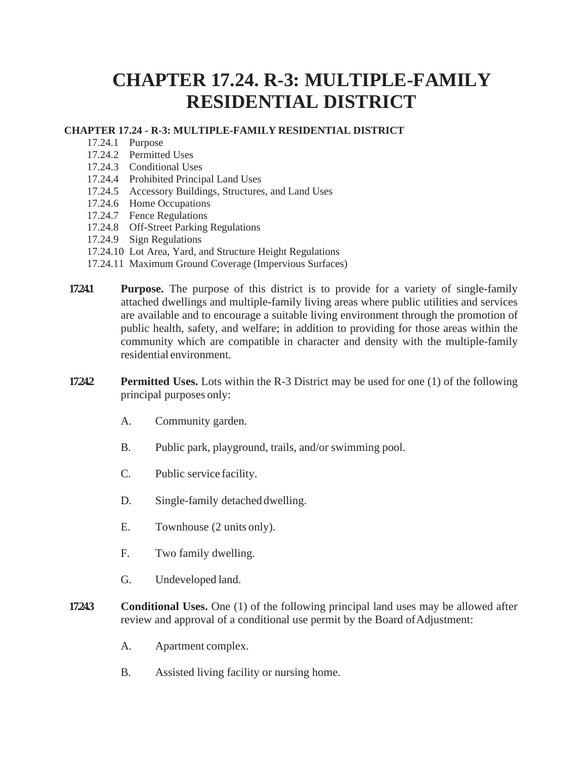## **CHAPTER 17.24. R-3: MULTIPLE-FAMILY RESIDENTIAL DISTRICT**

## **CHAPTER 17.24 - R-3: MULTIPLE-FAMILY RESIDENTIAL DISTRICT**

- 17.24.1 Purpose
- 17.24.2 Permitted Uses
- 17.24.3 Conditional Uses
- 17.24.4 Prohibited Principal Land Uses
- 17.24.5 Accessory Buildings, Structures, and Land Uses
- 17.24.6 Home Occupations
- 17.24.7 Fence Regulations
- 17.24.8 Off-Street Parking Regulations
- 17.24.9 Sign Regulations
- 17.24.10 Lot Area, Yard, and Structure Height Regulations
- 17.24.11 Maximum Ground Coverage (Impervious Surfaces)
- **17.24.1 Purpose.** The purpose of this district is to provide for a variety of single-family attached dwellings and multiple-family living areas where public utilities and services are available and to encourage a suitable living environment through the promotion of public health, safety, and welfare; in addition to providing for those areas within the community which are compatible in character and density with the multiple-family residential environment.
- **17.24.2 Permitted Uses.** Lots within the R-3 District may be used for one (1) of the following principal purposes only:
	- A. Community garden.
	- B. Public park, playground, trails, and/or swimming pool.
	- C. Public service facility.
	- D. Single-family detached dwelling.
	- E. Townhouse (2 units only).
	- F. Two family dwelling.
	- G. Undeveloped land.
- **17243 Conditional Uses.** One (1) of the following principal land uses may be allowed after review and approval of a conditional use permit by the Board of Adjustment:
	- A. Apartment complex.
	- B. Assisted living facility or nursing home.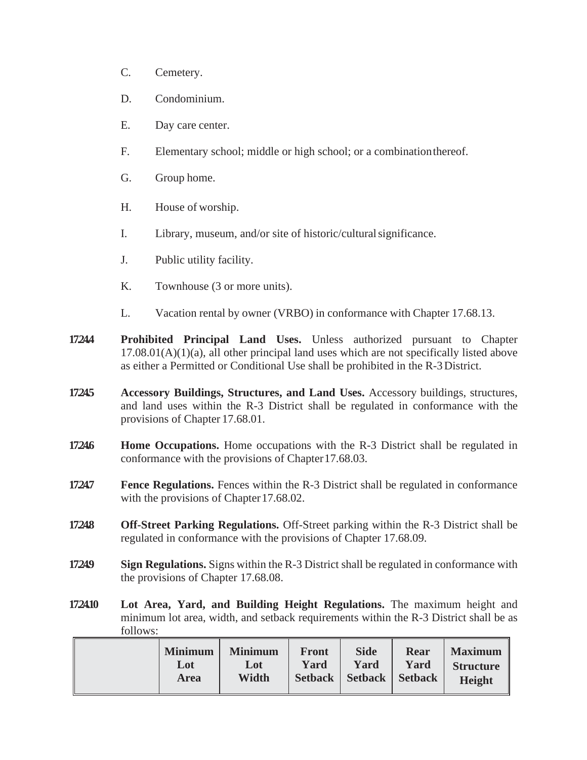- C. Cemetery.
- D. Condominium.
- E. Day care center.
- F. Elementary school; middle or high school; or a combinationthereof.
- G. Group home.
- H. House of worship.
- I. Library, museum, and/or site of historic/culturalsignificance.
- J. Public utility facility.
- K. Townhouse (3 or more units).
- L. Vacation rental by owner (VRBO) in conformance with Chapter 17.68.13.
- **17.24.4 Prohibited Principal Land Uses.** Unless authorized pursuant to Chapter  $17.08.01(A)(1)(a)$ , all other principal land uses which are not specifically listed above as either a Permitted or Conditional Use shall be prohibited in the R-3District.
- **17.24.5 Accessory Buildings, Structures, and Land Uses.** Accessory buildings, structures, and land uses within the R-3 District shall be regulated in conformance with the provisions of Chapter 17.68.01.
- **17.246 Home Occupations.** Home occupations with the R-3 District shall be regulated in conformance with the provisions of Chapter 17.68.03.
- **17.24.7 Fence Regulations.** Fences within the R-3 District shall be regulated in conformance with the provisions of Chapter 17.68.02.
- **17.24.8 Off-Street Parking Regulations.** Off-Street parking within the R-3 District shall be regulated in conformance with the provisions of Chapter 17.68.09.
- **17249 Sign Regulations.** Signs within the R-3 District shall be regulated in conformance with the provisions of Chapter 17.68.08.
- **17.24.10 Lot Area, Yard, and Building Height Regulations.** The maximum height and minimum lot area, width, and setback requirements within the R-3 District shall be as follows:

| <b>Minimum</b><br>Lot<br><b>Area</b> | <b>Minimum</b><br>Lot<br>Width | <b>Front</b><br>Yard | <b>Side</b><br>Yard<br>Setback   Setback   Setback | <b>Rear</b><br>Yard | <b>Maximum</b><br><b>Structure</b><br><b>Height</b> |
|--------------------------------------|--------------------------------|----------------------|----------------------------------------------------|---------------------|-----------------------------------------------------|
|--------------------------------------|--------------------------------|----------------------|----------------------------------------------------|---------------------|-----------------------------------------------------|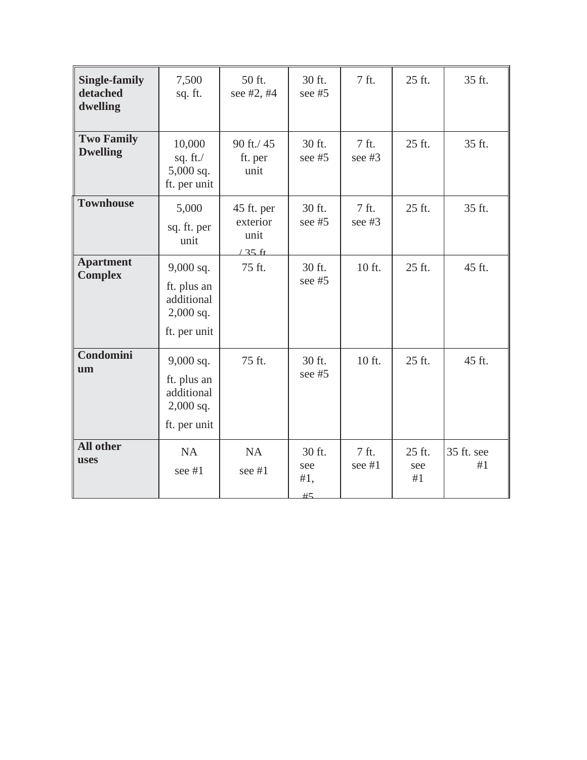| <b>Single-family</b><br>detached<br>dwelling | 7,500<br>sq. ft.                                                        | 50 ft.<br>see #2, #4                               | 30 ft.<br>see $#5$         | 7 ft.             | 25 ft.              | 35 ft.           |
|----------------------------------------------|-------------------------------------------------------------------------|----------------------------------------------------|----------------------------|-------------------|---------------------|------------------|
| <b>Two Family</b><br><b>Dwelling</b>         | 10,000<br>sq. $ft$ ./<br>$5,000$ sq.<br>ft. per unit                    | 90 ft./45<br>ft. per<br>unit                       | 30 ft.<br>see #5           | 7 ft.<br>see $#3$ | 25 ft.              | 35 ft.           |
| <b>Townhouse</b>                             | 5,000<br>sq. ft. per<br>unit                                            | 45 ft. per<br>exterior<br>unit<br>$125 \text{ ft}$ | 30 ft.<br>see $#5$         | 7 ft.<br>see $#3$ | 25 ft.              | 35 ft.           |
| <b>Apartment</b><br><b>Complex</b>           | $9,000$ sq.<br>ft. plus an<br>additional<br>$2,000$ sq.<br>ft. per unit | 75 ft.                                             | 30 ft.<br>see #5           | 10 ft.            | 25 ft.              | 45 ft.           |
| Condomini<br>um                              | $9,000$ sq.<br>ft. plus an<br>additional<br>$2,000$ sq.<br>ft. per unit | 75 ft.                                             | 30 ft.<br>see $#5$         | 10 ft.            | 25 ft.              | 45 ft.           |
| <b>All other</b><br><b>uses</b>              | <b>NA</b><br>see #1                                                     | <b>NA</b><br>see #1                                | 30 ft.<br>see<br>#1,<br>#5 | 7 ft.<br>see #1   | 25 ft.<br>see<br>#1 | 35 ft. see<br>#1 |